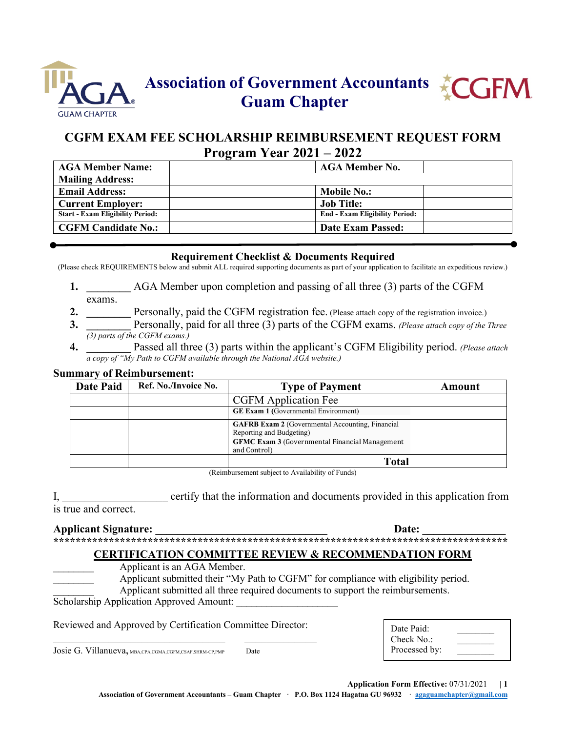



# **CGFM EXAM FEE SCHOLARSHIP REIMBURSEMENT REQUEST FORM Program Year 2021 – 2022**

| <b>AGA Member Name:</b>                 | <b>AGA Member No.</b>                 |
|-----------------------------------------|---------------------------------------|
| <b>Mailing Address:</b>                 |                                       |
| <b>Email Address:</b>                   | <b>Mobile No.:</b>                    |
| <b>Current Employer:</b>                | <b>Job Title:</b>                     |
| <b>Start - Exam Eligibility Period:</b> | <b>End - Exam Eligibility Period:</b> |
| <b>CGFM Candidate No.:</b>              | Date Exam Passed:                     |

## **Requirement Checklist & Documents Required**

(Please check REQUIREMENTS below and submit ALL required supporting documents as part of your application to facilitate an expeditious review.)

- **1. \_\_\_\_\_\_\_\_** AGA Member upon completion and passing of all three (3) parts of the CGFM exams.
- **2. Personally, paid the CGFM registration fee.** (Please attach copy of the registration invoice.)
- **3. \_\_\_\_\_\_\_\_** Personally, paid for all three (3) parts of the CGFM exams. *(Please attach copy of the Three (3) parts of the CGFM exams.)*
- **4. \_\_\_\_\_\_\_\_** Passed all three (3) parts within the applicant's CGFM Eligibility period. *(Please attach a copy of "My Path to CGFM available through the National AGA website.)*

#### **Summary of Reimbursement:**

| <b>Date Paid</b> | Ref. No./Invoice No. | <b>Type of Payment</b>                                                              | Amount |
|------------------|----------------------|-------------------------------------------------------------------------------------|--------|
|                  |                      | <b>CGFM</b> Application Fee                                                         |        |
|                  |                      | <b>GE Exam 1 (Governmental Environment)</b>                                         |        |
|                  |                      | <b>GAFRB Exam 2</b> (Governmental Accounting, Financial<br>Reporting and Budgeting) |        |
|                  |                      | <b>GFMC Exam 3 (Governmental Financial Management)</b><br>and Control)              |        |
|                  |                      | <b>Total</b>                                                                        |        |

(Reimbursement subject to Availability of Funds)

I, certify that the information and documents provided in this application from is true and correct.

#### **Applicant Signature:**  $\qquad \qquad$  **Date:**  $\qquad \qquad$

**\*\*\*\*\*\*\*\*\*\*\*\*\*\*\*\*\*\*\*\*\*\*\*\*\*\*\*\*\*\*\*\*\*\*\*\*\*\*\*\*\*\*\*\*\*\*\*\*\*\*\*\*\*\*\*\*\*\*\*\*\*\*\*\*\*\*\*\*\*\*\*\*\*\*\*\*\*\*\*\*\*\***

## **CERTIFICATION COMMITTEE REVIEW & RECOMMENDATION FORM**

Applicant is an AGA Member.

Applicant submitted their "My Path to CGFM" for compliance with eligibility period.

Applicant submitted all three required documents to support the reimbursements.

Scholarship Application Approved Amount:

Reviewed and Approved by Certification Committee Director:

Josie G. Villanueva, MBA,CPA,CGMA,CGFM,CSAF,SHRM-CP,PMP Date

| Processed by: | Date Paid:<br>Check No. |  |
|---------------|-------------------------|--|
|               |                         |  |